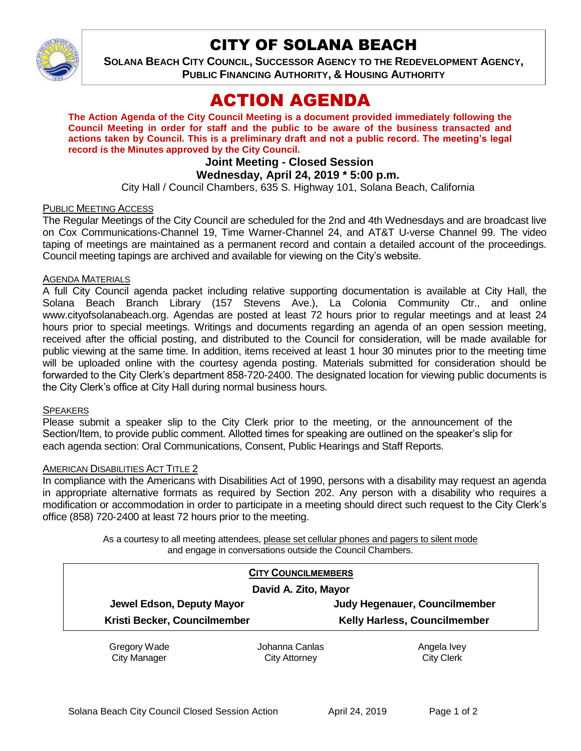

# CITY OF SOLANA BEACH

**SOLANA BEACH CITY COUNCIL, SUCCESSOR AGENCY TO THE REDEVELOPMENT AGENCY, PUBLIC FINANCING AUTHORITY, & HOUSING AUTHORITY** 

# ACTION AGENDA

**The Action Agenda of the City Council Meeting is a document provided immediately following the Council Meeting in order for staff and the public to be aware of the business transacted and actions taken by Council. This is a preliminary draft and not a public record. The meeting's legal record is the Minutes approved by the City Council.**

# **Joint Meeting - Closed Session**

# **Wednesday, April 24, 2019 \* 5:00 p.m.**

City Hall / Council Chambers, 635 S. Highway 101, Solana Beach, California

#### PUBLIC MEETING ACCESS

The Regular Meetings of the City Council are scheduled for the 2nd and 4th Wednesdays and are broadcast live on Cox Communications-Channel 19, Time Warner-Channel 24, and AT&T U-verse Channel 99. The video taping of meetings are maintained as a permanent record and contain a detailed account of the proceedings. Council meeting tapings are archived and available for viewing on the City's website.

#### AGENDA MATERIALS

A full City Council agenda packet including relative supporting documentation is available at City Hall, the Solana Beach Branch Library (157 Stevens Ave.), La Colonia Community Ctr., and online www.cityofsolanabeach.org. Agendas are posted at least 72 hours prior to regular meetings and at least 24 hours prior to special meetings. Writings and documents regarding an agenda of an open session meeting, received after the official posting, and distributed to the Council for consideration, will be made available for public viewing at the same time. In addition, items received at least 1 hour 30 minutes prior to the meeting time will be uploaded online with the courtesy agenda posting. Materials submitted for consideration should be forwarded to the City Clerk's department 858-720-2400. The designated location for viewing public documents is the City Clerk's office at City Hall during normal business hours.

#### **SPEAKERS**

Please submit a speaker slip to the City Clerk prior to the meeting, or the announcement of the Section/Item, to provide public comment. Allotted times for speaking are outlined on the speaker's slip for each agenda section: Oral Communications, Consent, Public Hearings and Staff Reports.

#### AMERICAN DISABILITIES ACT TITLE 2

In compliance with the Americans with Disabilities Act of 1990, persons with a disability may request an agenda in appropriate alternative formats as required by Section 202. Any person with a disability who requires a modification or accommodation in order to participate in a meeting should direct such request to the City Clerk's office (858) 720-2400 at least 72 hours prior to the meeting.

> As a courtesy to all meeting attendees, please set cellular phones and pagers to silent mode and engage in conversations outside the Council Chambers.

| <b>CITY COUNCILMEMBERS</b><br>David A. Zito, Mayor |                              |                |                              |  |
|----------------------------------------------------|------------------------------|----------------|------------------------------|--|
|                                                    |                              |                |                              |  |
|                                                    | Kristi Becker, Councilmember |                | Kelly Harless, Councilmember |  |
|                                                    | Gregory Wade                 | Johanna Canlas | Angela Ivey                  |  |
|                                                    | <b>City Manager</b>          | City Attorney  | <b>City Clerk</b>            |  |